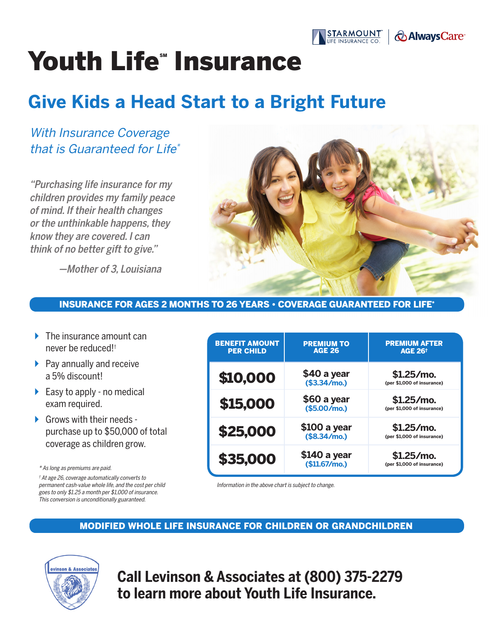

# Youth Life" Insurance

# **Give Kids a Head Start to a Bright Future**

# With Insurance Coverage that is Guaranteed for Life\*

"Purchasing life insurance for my children provides my family peace of mind. If their health changes or the unthinkable happens, they know they are covered. I can think of no better gift to give."

—Mother of 3, Louisiana



#### INSURANCE FOR AGES 2 MONTHS TO 26 YEARS • COVERAGE GUARANTEED FOR LIFE\*

- $\blacktriangleright$  The insurance amount can never be reduced!†
- $\blacktriangleright$  Pay annually and receive a 5% discount!
- $\triangleright$  Easy to apply no medical exam required.
- $\triangleright$  Grows with their needs purchase up to \$50,000 of total coverage as children grow.

\* As long as premiums are paid.

† At age 26, coverage automatically converts to permanent cash-value whole life, and the cost per child goes to only \$1.25 a month per \$1,000 of insurance. This conversion is unconditionally guaranteed.

| <b>BENEFIT AMOUNT</b><br><b>PER CHILD</b> | <b>PREMIUM TO</b><br><b>AGE 26</b> | <b>PREMIUM AFTER</b><br><b>AGE 26<sup>+</sup></b> |
|-------------------------------------------|------------------------------------|---------------------------------------------------|
| \$10,000                                  | \$40 a year<br>(\$3.34/mol)        | $$1.25/mol$ .<br>(per \$1,000 of insurance)       |
| \$15,000                                  | \$60 a year<br>(\$5.00/mo.)        | $$1.25/mo$ .<br>(per \$1,000 of insurance)        |
| \$25,000                                  | \$100 a year<br>(\$8.34/mo.)       | $$1.25/mol$ .<br>(per \$1,000 of insurance)       |
| \$35,000                                  | \$140 a year<br>(\$11.67/mol)      | $$1.25/m$ o.<br>(per \$1,000 of insurance)        |

Information in the above chart is subject to change.

#### MODIFIED WHOLE LIFE INSURANCE FOR CHILDREN OR GRANDCHILDREN



**Call Levinson & Associates at (800) 375-2279 to learn more about Youth Life Insurance.**